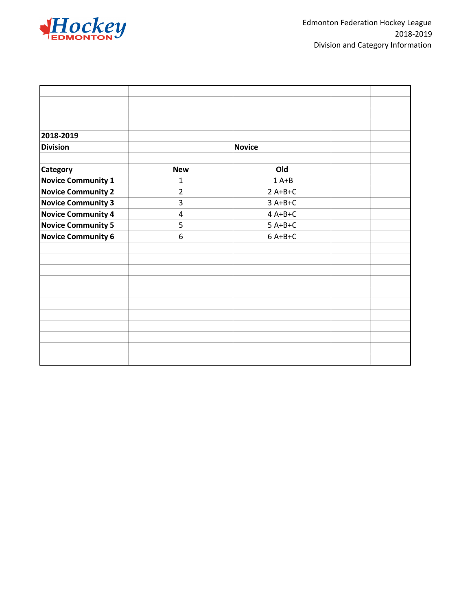

| 2018-2019                 |                |               |  |
|---------------------------|----------------|---------------|--|
| <b>Division</b>           |                | <b>Novice</b> |  |
| <b>Category</b>           | <b>New</b>     | Old           |  |
| <b>Novice Community 1</b> | $\mathbf{1}$   | $1A+B$        |  |
| <b>Novice Community 2</b> | $\overline{2}$ | $2A+B+C$      |  |
| <b>Novice Community 3</b> | 3              | $3A+B+C$      |  |
| <b>Novice Community 4</b> | 4              | $4A+B+C$      |  |
| <b>Novice Community 5</b> | 5              | $5A+B+C$      |  |
| <b>Novice Community 6</b> | 6              | $6A+B+C$      |  |
|                           |                |               |  |
|                           |                |               |  |
|                           |                |               |  |
|                           |                |               |  |
|                           |                |               |  |
|                           |                |               |  |
|                           |                |               |  |
|                           |                |               |  |
|                           |                |               |  |
|                           |                |               |  |
|                           |                |               |  |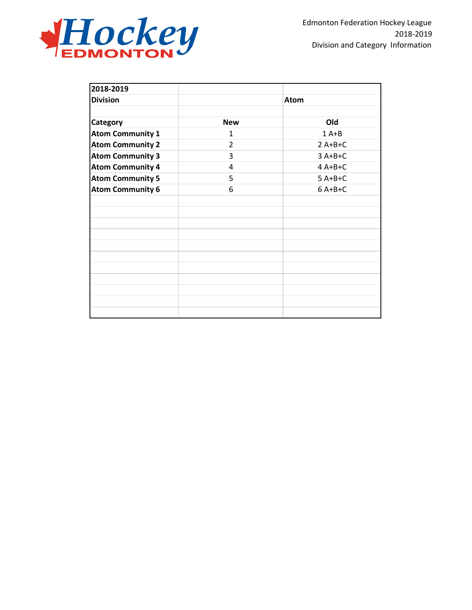

| 2018-2019               |                |             |
|-------------------------|----------------|-------------|
| <b>Division</b>         |                | <b>Atom</b> |
|                         |                |             |
| Category                | <b>New</b>     | Old         |
| <b>Atom Community 1</b> | 1              | $1A+B$      |
| <b>Atom Community 2</b> | $\overline{2}$ | $2A+B+C$    |
| <b>Atom Community 3</b> | 3              | $3A+B+C$    |
| <b>Atom Community 4</b> | 4              | $4A+B+C$    |
| <b>Atom Community 5</b> | 5              | $5A+B+C$    |
| <b>Atom Community 6</b> | 6              | $6A+B+C$    |
|                         |                |             |
|                         |                |             |
|                         |                |             |
|                         |                |             |
|                         |                |             |
|                         |                |             |
|                         |                |             |
|                         |                |             |
|                         |                |             |
|                         |                |             |
|                         |                |             |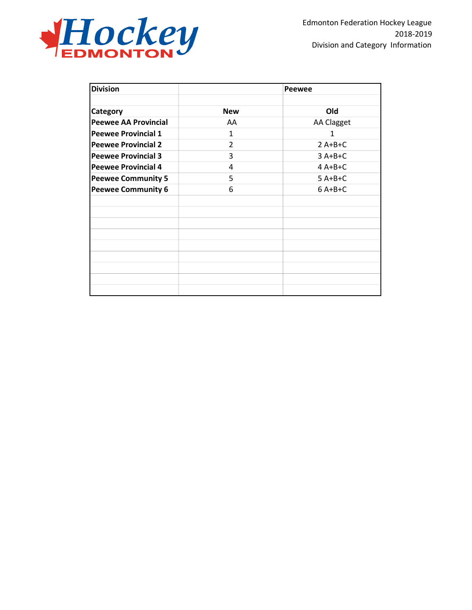

| <b>Division</b>             |                | Peewee            |
|-----------------------------|----------------|-------------------|
| Category                    | <b>New</b>     | Old               |
| <b>Peewee AA Provincial</b> | AA             | <b>AA Clagget</b> |
| <b>Peewee Provincial 1</b>  | 1              | $\mathbf{1}$      |
| <b>Peewee Provincial 2</b>  | $\overline{2}$ | $2A+B+C$          |
| <b>Peewee Provincial 3</b>  | 3              | $3A+B+C$          |
| <b>Peewee Provincial 4</b>  | 4              | $4A+B+C$          |
| <b>Peewee Community 5</b>   | 5              | $5A+B+C$          |
| <b>Peewee Community 6</b>   | 6              | $6A+B+C$          |
|                             |                |                   |
|                             |                |                   |
|                             |                |                   |
|                             |                |                   |
|                             |                |                   |
|                             |                |                   |
|                             |                |                   |
|                             |                |                   |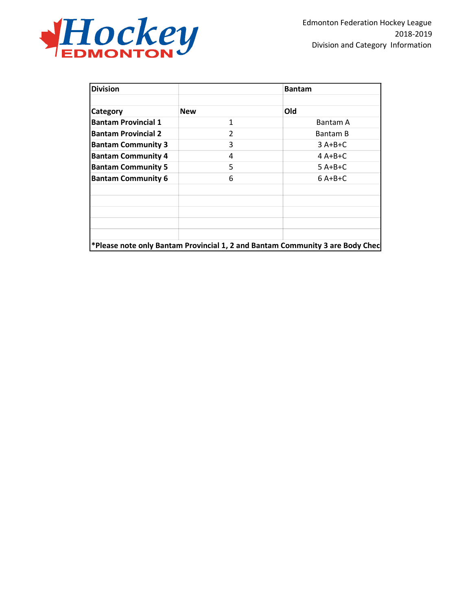

| <b>Division</b>            |            | <b>Bantam</b>                                                                 |
|----------------------------|------------|-------------------------------------------------------------------------------|
| <b>Category</b>            | <b>New</b> | Old                                                                           |
| <b>Bantam Provincial 1</b> | 1          | Bantam A                                                                      |
| <b>Bantam Provincial 2</b> | 2          | Bantam B                                                                      |
| <b>Bantam Community 3</b>  | 3          | $3A+B+C$                                                                      |
| <b>Bantam Community 4</b>  | 4          | $4$ A+B+C                                                                     |
| <b>Bantam Community 5</b>  | 5          | $5A+B+C$                                                                      |
| <b>Bantam Community 6</b>  | 6          | $6A+B+C$                                                                      |
|                            |            |                                                                               |
|                            |            | *Please note only Bantam Provincial 1, 2 and Bantam Community 3 are Body Chec |